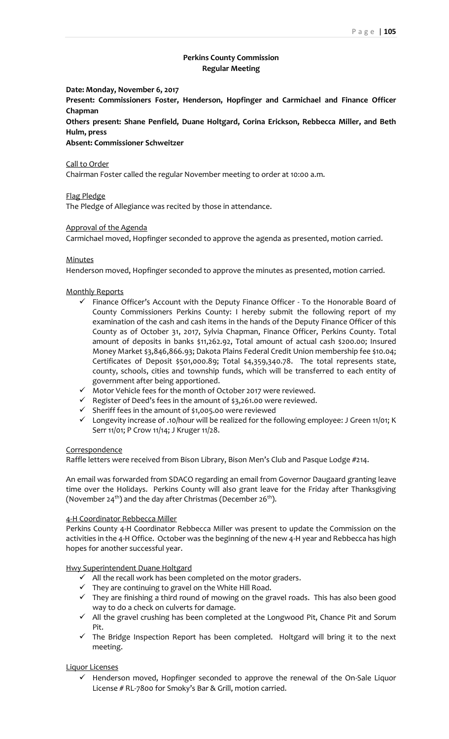# **Perkins County Commission Regular Meeting**

**Date: Monday, November 6, 2017**

**Present: Commissioners Foster, Henderson, Hopfinger and Carmichael and Finance Officer Chapman**

**Others present: Shane Penfield, Duane Holtgard, Corina Erickson, Rebbecca Miller, and Beth Hulm, press**

**Absent: Commissioner Schweitzer**

Call to Order

Chairman Foster called the regular November meeting to order at 10:00 a.m.

Flag Pledge

The Pledge of Allegiance was recited by those in attendance.

Approval of the Agenda

Carmichael moved, Hopfinger seconded to approve the agenda as presented, motion carried.

## Minutes

Henderson moved, Hopfinger seconded to approve the minutes as presented, motion carried.

## Monthly Reports

- $\checkmark$  Finance Officer's Account with the Deputy Finance Officer To the Honorable Board of County Commissioners Perkins County: I hereby submit the following report of my examination of the cash and cash items in the hands of the Deputy Finance Officer of this County as of October 31, 2017, Sylvia Chapman, Finance Officer, Perkins County. Total amount of deposits in banks \$11,262.92, Total amount of actual cash \$200.00; Insured Money Market \$3,846,866.93; Dakota Plains Federal Credit Union membership fee \$10.04; Certificates of Deposit \$501,000.89; Total \$4,359,340.78. The total represents state, county, schools, cities and township funds, which will be transferred to each entity of government after being apportioned.
- ✓ Motor Vehicle fees for the month of October 2017 were reviewed.
- $\checkmark$  Register of Deed's fees in the amount of \$3,261.00 were reviewed.
- ✓ Sheriff fees in the amount of \$1,005.00 were reviewed
- ✓ Longevity increase of .10/hour will be realized for the following employee: J Green 11/01; K Serr 11/01; P Crow 11/14; J Kruger 11/28.

#### **Correspondence**

Raffle letters were received from Bison Library, Bison Men's Club and Pasque Lodge #214.

An email was forwarded from SDACO regarding an email from Governor Daugaard granting leave time over the Holidays. Perkins County will also grant leave for the Friday after Thanksgiving (November 24<sup>th</sup>) and the day after Christmas (December 26<sup>th</sup>).

#### 4-H Coordinator Rebbecca Miller

Perkins County 4-H Coordinator Rebbecca Miller was present to update the Commission on the activities in the 4-H Office. October was the beginning of the new 4-H year and Rebbecca has high hopes for another successful year.

## Hwy Superintendent Duane Holtgard

- $\checkmark$  All the recall work has been completed on the motor graders.
- ✓ They are continuing to gravel on the White Hill Road.
- $\checkmark$  They are finishing a third round of mowing on the gravel roads. This has also been good way to do a check on culverts for damage.
- $\checkmark$  All the gravel crushing has been completed at the Longwood Pit, Chance Pit and Sorum Pit.
- $\checkmark$  The Bridge Inspection Report has been completed. Holtgard will bring it to the next meeting.

#### Liquor Licenses

 $\checkmark$  Henderson moved, Hopfinger seconded to approve the renewal of the On-Sale Liquor License # RL-7800 for Smoky's Bar & Grill, motion carried.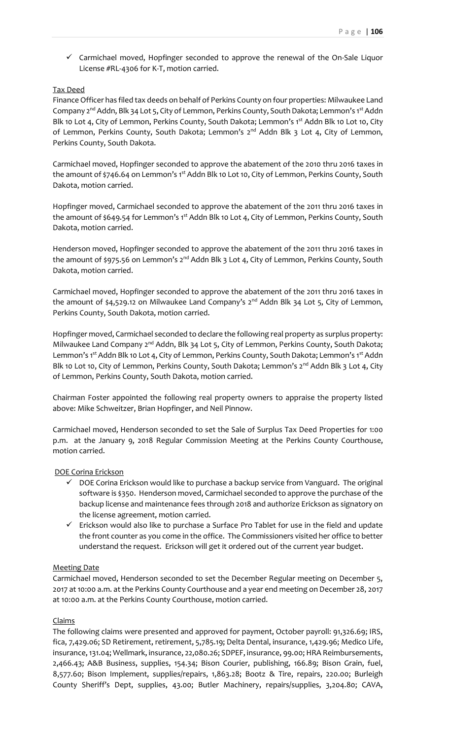✓ Carmichael moved, Hopfinger seconded to approve the renewal of the On-Sale Liquor License #RL-4306 for K-T, motion carried.

# Tax Deed

Finance Officer has filed tax deeds on behalf of Perkins County on four properties: Milwaukee Land Company 2<sup>nd</sup> Addn, Blk 34 Lot 5, City of Lemmon, Perkins County, South Dakota; Lemmon's 1st Addn Blk 10 Lot 4, City of Lemmon, Perkins County, South Dakota; Lemmon's 1<sup>st</sup> Addn Blk 10 Lot 10, City of Lemmon, Perkins County, South Dakota; Lemmon's 2<sup>nd</sup> Addn Blk 3 Lot 4, City of Lemmon, Perkins County, South Dakota.

Carmichael moved, Hopfinger seconded to approve the abatement of the 2010 thru 2016 taxes in the amount of \$746.64 on Lemmon's 1<sup>st</sup> Addn Blk 10 Lot 10, City of Lemmon, Perkins County, South Dakota, motion carried.

Hopfinger moved, Carmichael seconded to approve the abatement of the 2011 thru 2016 taxes in the amount of \$649.54 for Lemmon's 1<sup>st</sup> Addn Blk 10 Lot 4, City of Lemmon, Perkins County, South Dakota, motion carried.

Henderson moved, Hopfinger seconded to approve the abatement of the 2011 thru 2016 taxes in the amount of \$975.56 on Lemmon's 2<sup>nd</sup> Addn Blk 3 Lot 4, City of Lemmon, Perkins County, South Dakota, motion carried.

Carmichael moved, Hopfinger seconded to approve the abatement of the 2011 thru 2016 taxes in the amount of \$4,529.12 on Milwaukee Land Company's 2<sup>nd</sup> Addn Blk 34 Lot 5, City of Lemmon, Perkins County, South Dakota, motion carried.

Hopfinger moved, Carmichael seconded to declare the following real property as surplus property: Milwaukee Land Company  $2^{nd}$  Addn, Blk 34 Lot 5, City of Lemmon, Perkins County, South Dakota; Lemmon's 1<sup>st</sup> Addn Blk 10 Lot 4, City of Lemmon, Perkins County, South Dakota; Lemmon's 1<sup>st</sup> Addn Blk 10 Lot 10, City of Lemmon, Perkins County, South Dakota; Lemmon's 2<sup>nd</sup> Addn Blk 3 Lot 4, City of Lemmon, Perkins County, South Dakota, motion carried.

Chairman Foster appointed the following real property owners to appraise the property listed above: Mike Schweitzer, Brian Hopfinger, and Neil Pinnow.

Carmichael moved, Henderson seconded to set the Sale of Surplus Tax Deed Properties for 1:00 p.m. at the January 9, 2018 Regular Commission Meeting at the Perkins County Courthouse, motion carried.

#### DOE Corina Erickson

- $\checkmark$  DOE Corina Erickson would like to purchase a backup service from Vanguard. The original software is \$350. Henderson moved, Carmichael seconded to approve the purchase of the backup license and maintenance fees through 2018 and authorize Erickson as signatory on the license agreement, motion carried.
- ✓ Erickson would also like to purchase a Surface Pro Tablet for use in the field and update the front counter as you come in the office. The Commissioners visited her office to better understand the request. Erickson will get it ordered out of the current year budget.

#### Meeting Date

Carmichael moved, Henderson seconded to set the December Regular meeting on December 5, 2017 at 10:00 a.m. at the Perkins County Courthouse and a year end meeting on December 28, 2017 at 10:00 a.m. at the Perkins County Courthouse, motion carried.

### Claims

The following claims were presented and approved for payment, October payroll: 91,326.69; IRS, fica, 7,429.06; SD Retirement, retirement, 5,785.19; Delta Dental, insurance, 1,429.96; Medico Life, insurance, 131.04; Wellmark, insurance, 22,080.26; SDPEF, insurance, 99.00; HRA Reimbursements, 2,466.43; A&B Business, supplies, 154.34; Bison Courier, publishing, 166.89; Bison Grain, fuel, 8,577.60; Bison Implement, supplies/repairs, 1,863.28; Bootz & Tire, repairs, 220.00; Burleigh County Sheriff's Dept, supplies, 43.00; Butler Machinery, repairs/supplies, 3,204.80; CAVA,